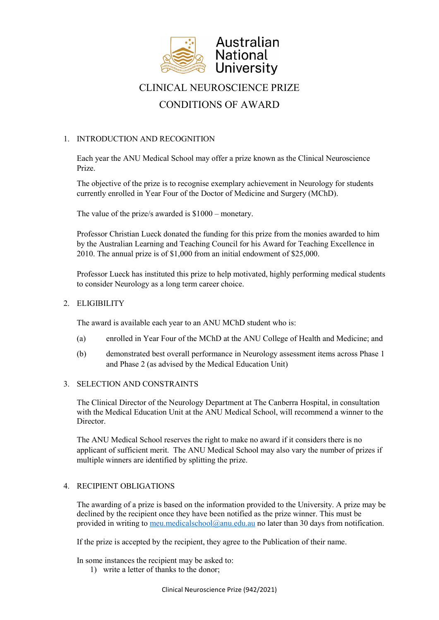

# CLINICAL NEUROSCIENCE PRIZE CONDITIONS OF AWARD

# 1. INTRODUCTION AND RECOGNITION

Each year the ANU Medical School may offer a prize known as the Clinical Neuroscience Prize.

The objective of the prize is to recognise exemplary achievement in Neurology for students currently enrolled in Year Four of the Doctor of Medicine and Surgery (MChD).

The value of the prize/s awarded is \$1000 – monetary.

Professor Christian Lueck donated the funding for this prize from the monies awarded to him by the Australian Learning and Teaching Council for his Award for Teaching Excellence in 2010. The annual prize is of \$1,000 from an initial endowment of \$25,000.

Professor Lueck has instituted this prize to help motivated, highly performing medical students to consider Neurology as a long term career choice.

### 2. ELIGIBILITY

The award is available each year to an ANU MChD student who is:

- (a) enrolled in Year Four of the MChD at the ANU College of Health and Medicine; and
- (b) demonstrated best overall performance in Neurology assessment items across Phase 1 and Phase 2 (as advised by the Medical Education Unit)

### 3. SELECTION AND CONSTRAINTS

The Clinical Director of the Neurology Department at The Canberra Hospital, in consultation with the Medical Education Unit at the ANU Medical School, will recommend a winner to the Director.

The ANU Medical School reserves the right to make no award if it considers there is no applicant of sufficient merit. The ANU Medical School may also vary the number of prizes if multiple winners are identified by splitting the prize.

#### 4. RECIPIENT OBLIGATIONS

The awarding of a prize is based on the information provided to the University. A prize may be declined by the recipient once they have been notified as the prize winner. This must be provided in writing to [meu.medicalschool@anu.edu.au](mailto:meu.medicalschool@anu.edu.au) no later than 30 days from notification.

If the prize is accepted by the recipient, they agree to the Publication of their name.

In some instances the recipient may be asked to:

1) write a letter of thanks to the donor;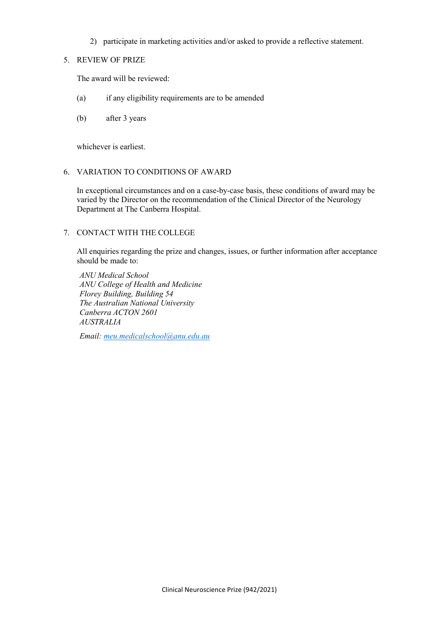2) participate in marketing activities and/or asked to provide a reflective statement.

#### 5. REVIEW OF PRIZE

The award will be reviewed:

- (a) if any eligibility requirements are to be amended
- (b) after 3 years

whichever is earliest.

### 6. VARIATION TO CONDITIONS OF AWARD

In exceptional circumstances and on a case-by-case basis, these conditions of award may be varied by the Director on the recommendation of the Clinical Director of the Neurology Department at The Canberra Hospital.

# 7. CONTACT WITH THE COLLEGE

All enquiries regarding the prize and changes, issues, or further information after acceptance should be made to:

*ANU Medical School ANU College of Health and Medicine Florey Building, Building 54 The Australian National University Canberra ACTON 2601 AUSTRALIA*

*Email[: meu.medicalschool@anu.edu.au](mailto:meu.medicalschool@anu.edu.au)*